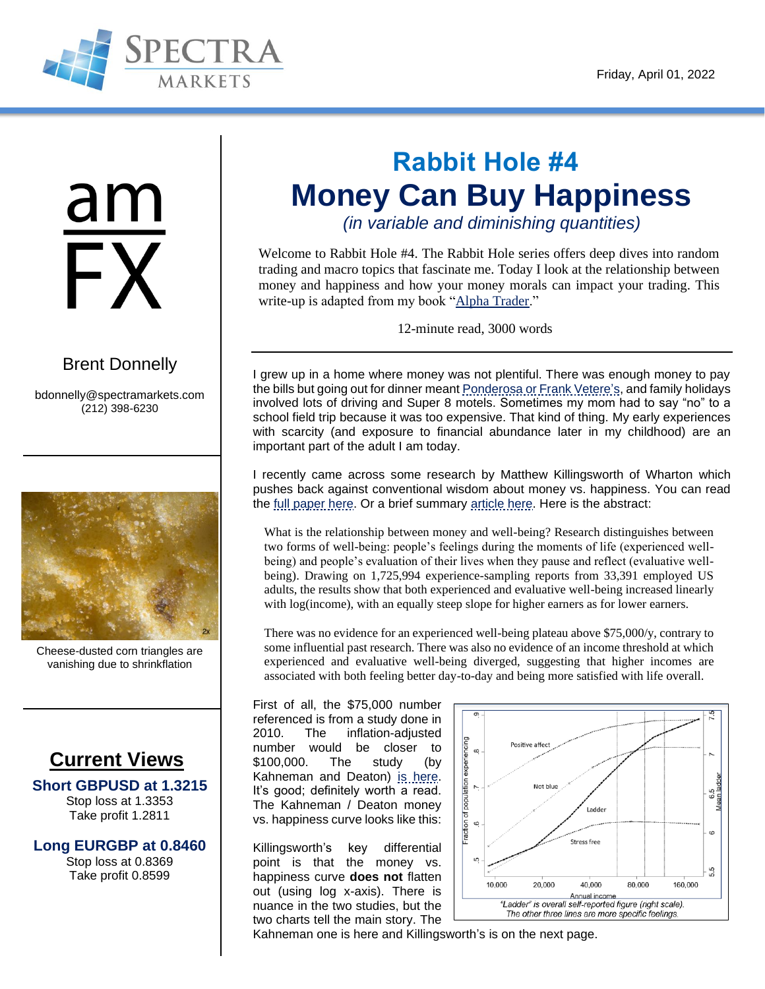

am FX

### [Brent Donnelly](http://bdonnelly@spectrafx.com)

[bdonnelly@spectramarkets.com](mailto:bdonnelly@spectramarkets.com) (212) 398-6230



Cheese-dusted corn triangles are vanishing due to shrinkflation

### **Current Views**

**Short GBPUSD at 1.3215** Stop loss at 1.3353 Take profit 1.2811

**Long EURGBP at 0.8460** Stop loss at 0.8369 Take profit 0.8599

# **Rabbit Hole #4 Money Can Buy Happiness**

*(in variable and diminishing quantities)*

Welcome to Rabbit Hole #4. The Rabbit Hole series offers deep dives into random trading and macro topics that fascinate me. Today I look at the relationship between money and happiness and how your money morals can impact your trading. This write-up is adapted from my book ["Alpha Trader.](https://amzn.to/3rngGo3)"

12-minute read, 3000 words

I grew up in a home where money was not plentiful. There was enough money to pay the bills but going out for dinner mean[t Ponderosa or Frank Vetere's,](https://youtu.be/4eDPjfe5uhI) and family holidays involved lots of driving and Super 8 motels. Sometimes my mom had to say "no" to a school field trip because it was too expensive. That kind of thing. My early experiences with scarcity (and exposure to financial abundance later in my childhood) are an important part of the adult I am today.

I recently came across some research by Matthew Killingsworth of Wharton which pushes back against conventional wisdom about money vs. happiness. You can read the [full paper here.](https://www.pnas.org/doi/10.1073/pnas.2016976118) Or a brief summary [article here.](https://penntoday.upenn.edu/news/money-matters-to-happiness-perhaps-more-than-previously-thought) Here is the abstract:

What is the relationship between money and well-being? Research distinguishes between two forms of well-being: people's feelings during the moments of life (experienced wellbeing) and people's evaluation of their lives when they pause and reflect (evaluative wellbeing). Drawing on 1,725,994 experience-sampling reports from 33,391 employed US adults, the results show that both experienced and evaluative well-being increased linearly with log(income), with an equally steep slope for higher earners as for lower earners.

There was no evidence for an experienced well-being plateau above \$75,000/y, contrary to some influential past research. There was also no evidence of an income threshold at which experienced and evaluative well-being diverged, suggesting that higher incomes are associated with both feeling better day-to-day and being more satisfied with life overall.

First of all, the \$75,000 number referenced is from a study done in 2010. The inflation-adjusted number would be closer to \$100,000. The study (by Kahneman and Deaton) [is here.](https://www.pnas.org/doi/10.1073/pnas.1011492107) It's good; definitely worth a read. The Kahneman / Deaton money vs. happiness curve looks like this:

Killingsworth's key differential point is that the money vs. happiness curve **does not** flatten out (using log x-axis). There is nuance in the two studies, but the two charts tell the main story. The



Kahneman one is here and Killingsworth's is on the next page.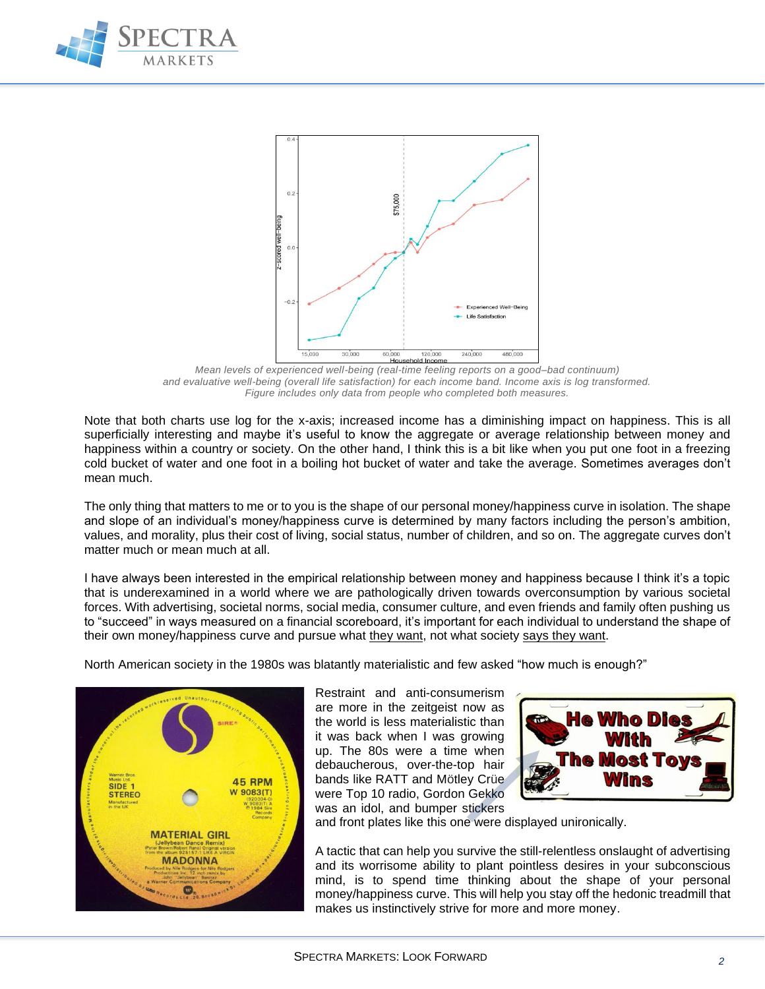



*Mean levels of experienced well-being (real-time feeling reports on a good–bad continuum) and evaluative well-being (overall life satisfaction) for each income band. Income axis is log transformed. Figure includes only data from people who completed both measures.*

Note that both charts use log for the x-axis; increased income has a diminishing impact on happiness. This is all superficially interesting and maybe it's useful to know the aggregate or average relationship between money and happiness within a country or society. On the other hand, I think this is a bit like when you put one foot in a freezing cold bucket of water and one foot in a boiling hot bucket of water and take the average. Sometimes averages don't mean much.

The only thing that matters to me or to you is the shape of our personal money/happiness curve in isolation. The shape and slope of an individual's money/happiness curve is determined by many factors including the person's ambition, values, and morality, plus their cost of living, social status, number of children, and so on. The aggregate curves don't matter much or mean much at all

I have always been interested in the empirical relationship between money and happiness because I think it's a topic that is underexamined in a world where we are pathologically driven towards overconsumption by various societal forces. With advertising, societal norms, social media, consumer culture, and even friends and family often pushing us to "succeed" in ways measured on a financial scoreboard, it's important for each individual to understand the shape of their own money/happiness curve and pursue what they want, not what society says they want.

North American society in the 1980s was blatantly materialistic and few asked "how much is enough?"



Restraint and anti-consumerism are more in the zeitgeist now as the world is less materialistic than it was back when I was growing up. The 80s were a time when debaucherous, over-the-top hair bands like RATT and Mötley Crüe were Top 10 radio, Gordon Gekko was an idol, and bumper stickers



and front plates like this one were displayed unironically.

A tactic that can help you survive the still-relentless onslaught of advertising and its worrisome ability to plant pointless desires in your subconscious mind, is to spend time thinking about the shape of your personal money/happiness curve. This will help you stay off the hedonic treadmill that makes us instinctively strive for more and more money.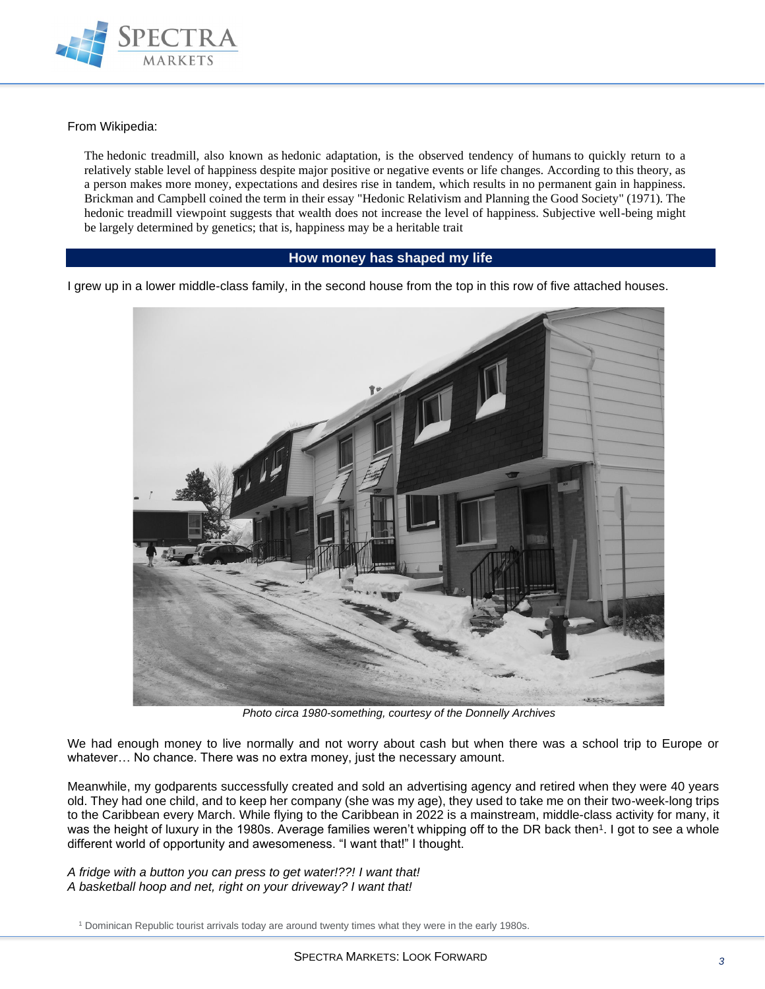

From Wikipedia:

The hedonic treadmill, also known as hedonic adaptation, is the observed tendency of [humans](https://en.wikipedia.org/wiki/Human) to quickly return to a relatively stable level of [happiness](https://en.wikipedia.org/wiki/Happiness) despite major positive or negative events or life changes. According to this theory, as a person makes more money, expectations and desires rise in tandem, which results in no permanent gain in happiness. Brickman and [Campbell](https://en.wikipedia.org/wiki/Donald_T._Campbell) coined the term in their essay "Hedonic Relativism and Planning the Good Society" (1971). The hedonic treadmill viewpoint suggests that wealth does not increase the level of happiness. Subjective well-being might be largely determined by genetics; that is, happiness may be a heritable trait

#### **How money has shaped my life**

I grew up in a lower middle-class family, in the second house from the top in this row of five attached houses.



*Photo circa 1980-something, courtesy of the Donnelly Archives*

We had enough money to live normally and not worry about cash but when there was a school trip to Europe or whatever… No chance. There was no extra money, just the necessary amount.

Meanwhile, my godparents successfully created and sold an advertising agency and retired when they were 40 years old. They had one child, and to keep her company (she was my age), they used to take me on their two-week-long trips to the Caribbean every March. While flying to the Caribbean in 2022 is a mainstream, middle-class activity for many, it was the height of luxury in the 1980s. Average families weren't whipping off to the DR back then<sup>1</sup>. I got to see a whole different world of opportunity and awesomeness. "I want that!" I thought.

*A fridge with a button you can press to get water!??! I want that! A basketball hoop and net, right on your driveway? I want that!*

<sup>1</sup> Dominican Republic tourist arrivals today are around twenty times what they were in the early 1980s.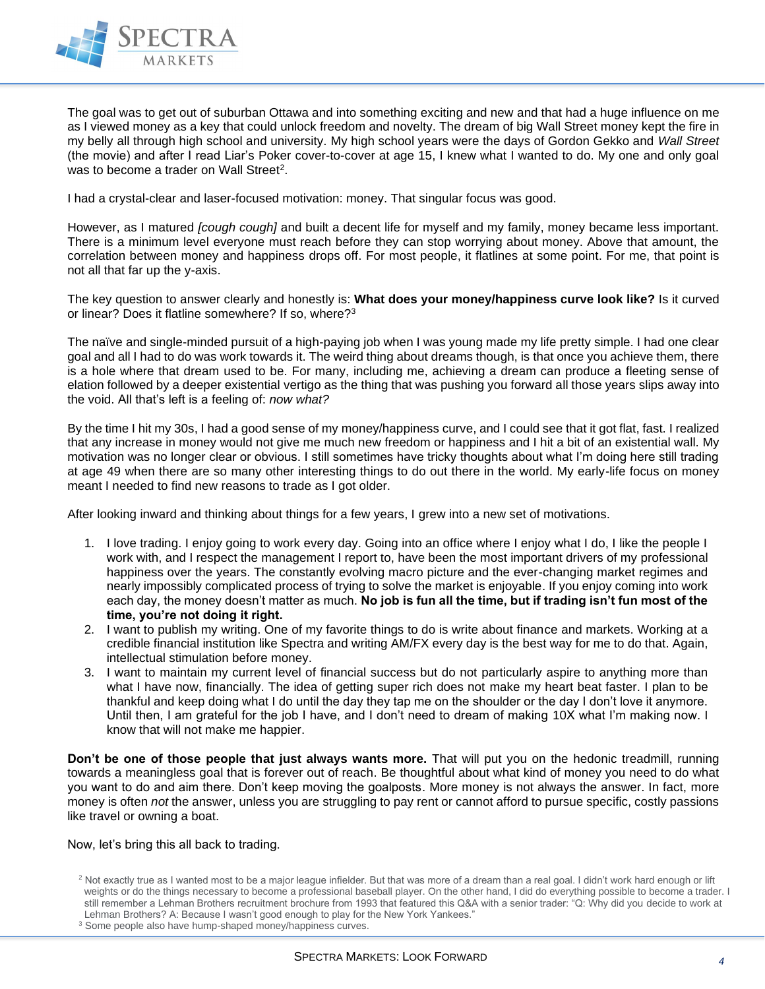

The goal was to get out of suburban Ottawa and into something exciting and new and that had a huge influence on me as I viewed money as a key that could unlock freedom and novelty. The dream of big Wall Street money kept the fire in my belly all through high school and university. My high school years were the days of Gordon Gekko and *Wall Street* (the movie) and after I read Liar's Poker cover-to-cover at age 15, I knew what I wanted to do. My one and only goal was to become a trader on Wall Street<sup>2</sup>.

I had a crystal-clear and laser-focused motivation: money. That singular focus was good.

However, as I matured *[cough cough]* and built a decent life for myself and my family, money became less important. There is a minimum level everyone must reach before they can stop worrying about money. Above that amount, the correlation between money and happiness drops off. For most people, it flatlines at some point. For me, that point is not all that far up the y-axis.

The key question to answer clearly and honestly is: **What does your money/happiness curve look like?** Is it curved or linear? Does it flatline somewhere? If so, where?<sup>3</sup>

The naïve and single-minded pursuit of a high-paying job when I was young made my life pretty simple. I had one clear goal and all I had to do was work towards it. The weird thing about dreams though, is that once you achieve them, there is a hole where that dream used to be. For many, including me, achieving a dream can produce a fleeting sense of elation followed by a deeper existential vertigo as the thing that was pushing you forward all those years slips away into the void. All that's left is a feeling of: *now what?*

By the time I hit my 30s, I had a good sense of my money/happiness curve, and I could see that it got flat, fast. I realized that any increase in money would not give me much new freedom or happiness and I hit a bit of an existential wall. My motivation was no longer clear or obvious. I still sometimes have tricky thoughts about what I'm doing here still trading at age 49 when there are so many other interesting things to do out there in the world. My early-life focus on money meant I needed to find new reasons to trade as I got older.

After looking inward and thinking about things for a few years, I grew into a new set of motivations.

- 1. I love trading. I enjoy going to work every day. Going into an office where I enjoy what I do, I like the people I work with, and I respect the management I report to, have been the most important drivers of my professional happiness over the years. The constantly evolving macro picture and the ever-changing market regimes and nearly impossibly complicated process of trying to solve the market is enjoyable. If you enjoy coming into work each day, the money doesn't matter as much. **No job is fun all the time, but if trading isn't fun most of the time, you're not doing it right.**
- 2. I want to publish my writing. One of my favorite things to do is write about finance and markets. Working at a credible financial institution like Spectra and writing AM/FX every day is the best way for me to do that. Again, intellectual stimulation before money.
- 3. I want to maintain my current level of financial success but do not particularly aspire to anything more than what I have now, financially. The idea of getting super rich does not make my heart beat faster. I plan to be thankful and keep doing what I do until the day they tap me on the shoulder or the day I don't love it anymore. Until then, I am grateful for the job I have, and I don't need to dream of making 10X what I'm making now. I know that will not make me happier.

**Don't be one of those people that just always wants more.** That will put you on the hedonic treadmill, running towards a meaningless goal that is forever out of reach. Be thoughtful about what kind of money you need to do what you want to do and aim there. Don't keep moving the goalposts. More money is not always the answer. In fact, more money is often *not* the answer, unless you are struggling to pay rent or cannot afford to pursue specific, costly passions like travel or owning a boat.

#### Now, let's bring this all back to trading.

<sup>&</sup>lt;sup>2</sup> Not exactly true as I wanted most to be a major league infielder. But that was more of a dream than a real goal. I didn't work hard enough or lift weights or do the things necessary to become a professional baseball player. On the other hand, I did do everything possible to become a trader. I still remember a Lehman Brothers recruitment brochure from 1993 that featured this Q&A with a senior trader: "Q: Why did you decide to work at Lehman Brothers? A: Because I wasn't good enough to play for the New York Yankees."

<sup>&</sup>lt;sup>3</sup> Some people also have hump-shaped money/happiness curves.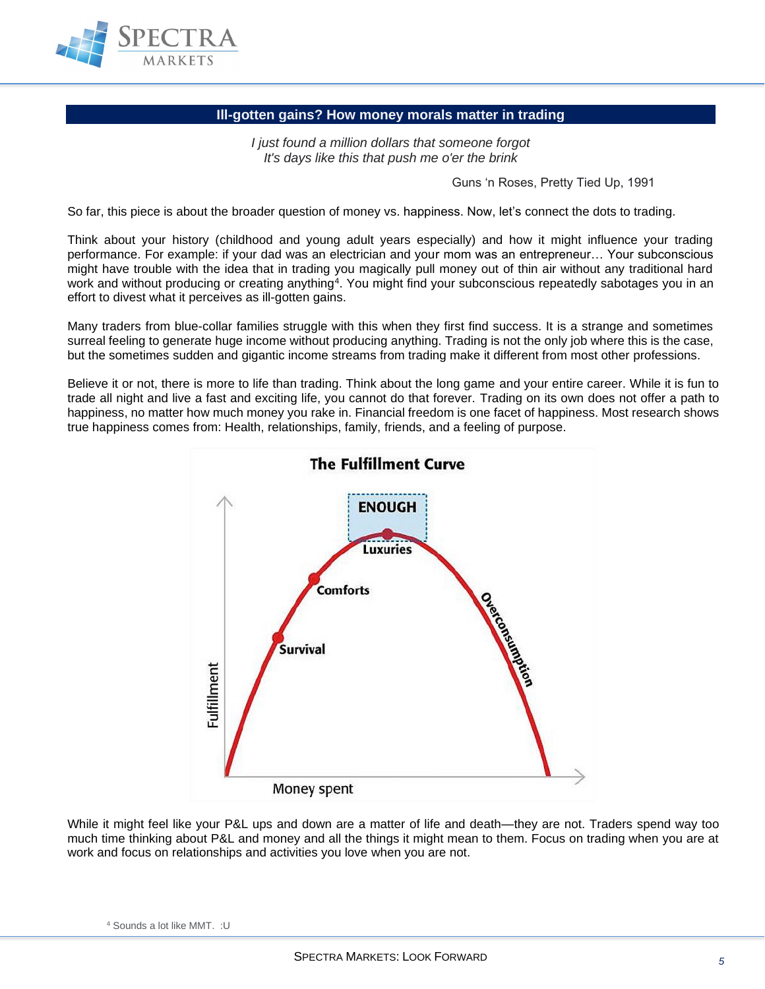

#### **Ill-gotten gains? How money morals matter in trading**

*I just found a million dollars that someone forgot It's days like this that push me o'er the brink*

Guns 'n Roses, Pretty Tied Up, 1991

So far, this piece is about the broader question of money vs. happiness. Now, let's connect the dots to trading.

Think about your history (childhood and young adult years especially) and how it might influence your trading performance. For example: if your dad was an electrician and your mom was an entrepreneur… Your subconscious might have trouble with the idea that in trading you magically pull money out of thin air without any traditional hard work and without producing or creating anything<sup>4</sup>. You might find your subconscious repeatedly sabotages you in an effort to divest what it perceives as ill-gotten gains.

Many traders from blue-collar families struggle with this when they first find success. It is a strange and sometimes surreal feeling to generate huge income without producing anything. Trading is not the only job where this is the case, but the sometimes sudden and gigantic income streams from trading make it different from most other professions.

Believe it or not, there is more to life than trading. Think about the long game and your entire career. While it is fun to trade all night and live a fast and exciting life, you cannot do that forever. Trading on its own does not offer a path to happiness, no matter how much money you rake in. Financial freedom is one facet of happiness. Most research shows true happiness comes from: Health, relationships, family, friends, and a feeling of purpose.



While it might feel like your P&L ups and down are a matter of life and death—they are not. Traders spend way too much time thinking about P&L and money and all the things it might mean to them. Focus on trading when you are at work and focus on relationships and activities you love when you are not.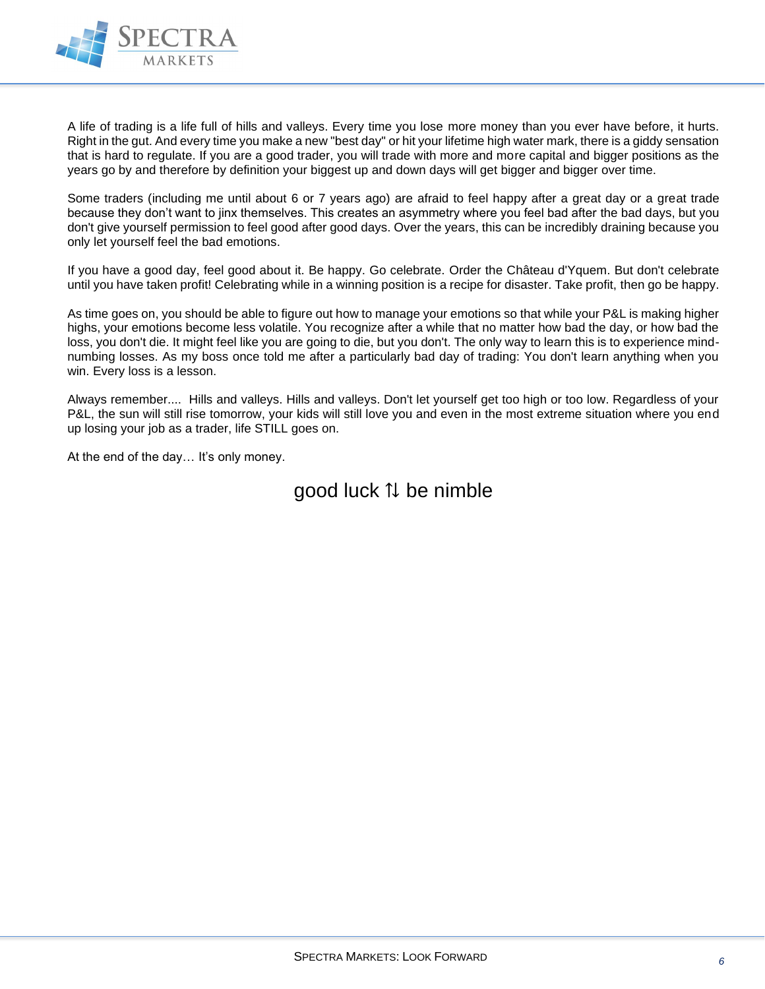

A life of trading is a life full of hills and valleys. Every time you lose more money than you ever have before, it hurts. Right in the gut. And every time you make a new "best day" or hit your lifetime high water mark, there is a giddy sensation that is hard to regulate. If you are a good trader, you will trade with more and more capital and bigger positions as the years go by and therefore by definition your biggest up and down days will get bigger and bigger over time.

Some traders (including me until about 6 or 7 years ago) are afraid to feel happy after a great day or a great trade because they don't want to jinx themselves. This creates an asymmetry where you feel bad after the bad days, but you don't give yourself permission to feel good after good days. Over the years, this can be incredibly draining because you only let yourself feel the bad emotions.

If you have a good day, feel good about it. Be happy. Go celebrate. Order the Château d'Yquem. But don't celebrate until you have taken profit! Celebrating while in a winning position is a recipe for disaster. Take profit, then go be happy.

As time goes on, you should be able to figure out how to manage your emotions so that while your P&L is making higher highs, your emotions become less volatile. You recognize after a while that no matter how bad the day, or how bad the loss, you don't die. It might feel like you are going to die, but you don't. The only way to learn this is to experience mindnumbing losses. As my boss once told me after a particularly bad day of trading: You don't learn anything when you win. Every loss is a lesson.

Always remember.... Hills and valleys. Hills and valleys. Don't let yourself get too high or too low. Regardless of your P&L, the sun will still rise tomorrow, your kids will still love you and even in the most extreme situation where you end up losing your job as a trader, life STILL goes on.

At the end of the day… It's only money.

### good luck ⇅ be nimble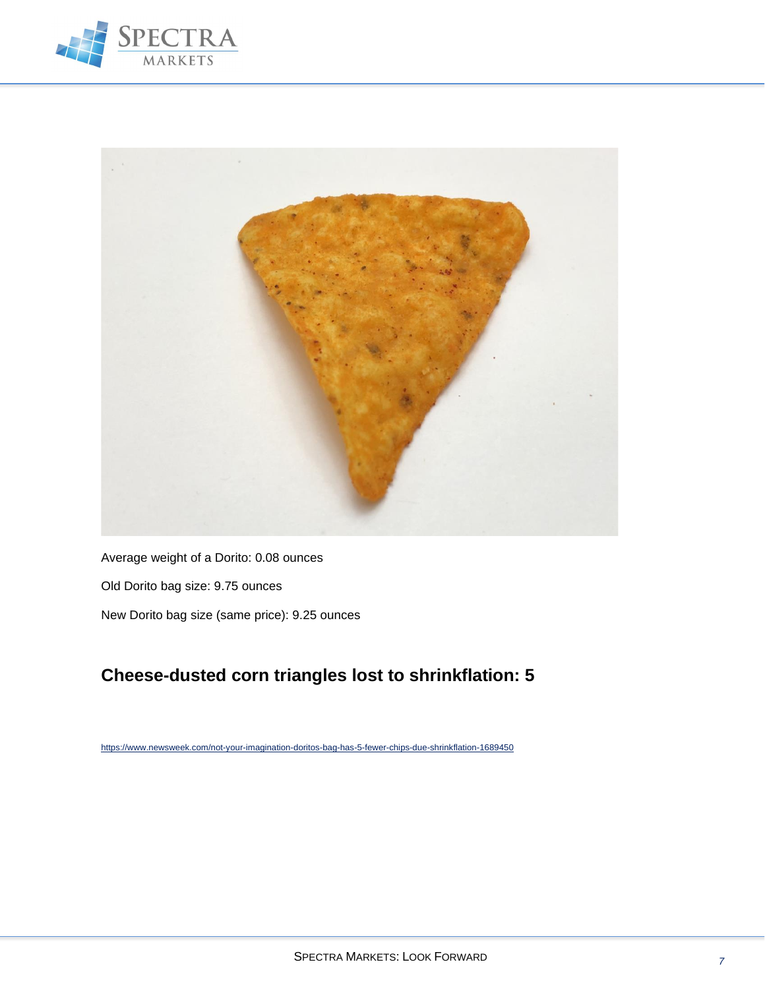



Average weight of a Dorito: 0.08 ounces Old Dorito bag size: 9.75 ounces New Dorito bag size (same price): 9.25 ounces

### **Cheese-dusted corn triangles lost to shrinkflation: 5**

<https://www.newsweek.com/not-your-imagination-doritos-bag-has-5-fewer-chips-due-shrinkflation-1689450>